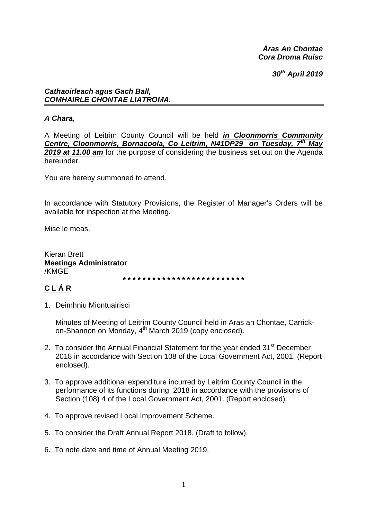Áras An Chontae Cora Droma Ruisc

30<sup>th</sup> April 2019

#### **Cathaoirleach agus Gach Ball,** COMHAIRLE CHONTAE LIATROMA.

# A Chara.

A Meeting of Leitrim County Council will be held in Cloonmorris Community Centre, Cloonmorris, Bornacoola, Co Leitrim, N41DP29 on Tuesday, 7<sup>th</sup> May 2019 at 11.00 am for the purpose of considering the business set out on the Agenda hereunder

You are hereby summoned to attend.

In accordance with Statutory Provisions, the Register of Manager's Orders will be available for inspection at the Meeting.

Mise le meas.

**Kieran Brett Meetings Administrator** /KMGE

# CLÁR

1. Deimhniu Miontuairisci

Minutes of Meeting of Leitrim County Council held in Aras an Chontae, Carrickon-Shannon on Monday, 4<sup>th</sup> March 2019 (copy enclosed).

- 2. To consider the Annual Financial Statement for the year ended 31<sup>st</sup> December 2018 in accordance with Section 108 of the Local Government Act, 2001. (Report enclosed).
- 3. To approve additional expenditure incurred by Leitrim County Council in the performance of its functions during 2018 in accordance with the provisions of Section (108) 4 of the Local Government Act, 2001. (Report enclosed).
- 4. To approve revised Local Improvement Scheme.
- 5. To consider the Draft Annual Report 2018. (Draft to follow).
- 6. To note date and time of Annual Meeting 2019.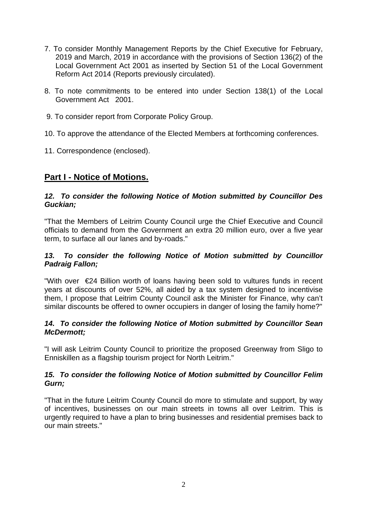- 7. To consider Monthly Management Reports by the Chief Executive for February, 2019 and March, 2019 in accordance with the provisions of Section 136(2) of the Local Government Act 2001 as inserted by Section 51 of the Local Government Reform Act 2014 (Reports previously circulated).
- 8. To note commitments to be entered into under Section 138(1) of the Local Government Act 2001.
- 9. To consider report from Corporate Policy Group.
- 10. To approve the attendance of the Elected Members at forthcoming conferences.
- 11. Correspondence (enclosed).

# **Part I - Notice of Motions.**

#### *12. To consider the following Notice of Motion submitted by Councillor Des Guckian;*

"That the Members of Leitrim County Council urge the Chief Executive and Council officials to demand from the Government an extra 20 million euro, over a five year term, to surface all our lanes and by-roads."

#### *13. To consider the following Notice of Motion submitted by Councillor Padraig Fallon;*

"With over €24 Billion worth of loans having been sold to vultures funds in recent years at discounts of over 52%, all aided by a tax system designed to incentivise them, I propose that Leitrim County Council ask the Minister for Finance, why can't similar discounts be offered to owner occupiers in danger of losing the family home?"

#### *14. To consider the following Notice of Motion submitted by Councillor Sean McDermott;*

"I will ask Leitrim County Council to prioritize the proposed Greenway from Sligo to Enniskillen as a flagship tourism project for North Leitrim."

#### *15. To consider the following Notice of Motion submitted by Councillor Felim Gurn;*

"That in the future Leitrim County Council do more to stimulate and support, by way of incentives, businesses on our main streets in towns all over Leitrim. This is urgently required to have a plan to bring businesses and residential premises back to our main streets."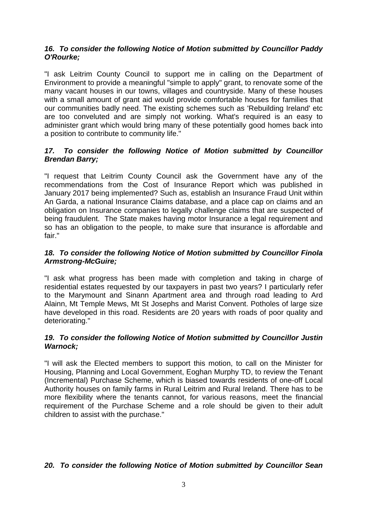#### *16. To consider the following Notice of Motion submitted by Councillor Paddy O'Rourke;*

"I ask Leitrim County Council to support me in calling on the Department of Environment to provide a meaningful "simple to apply" grant, to renovate some of the many vacant houses in our towns, villages and countryside. Many of these houses with a small amount of grant aid would provide comfortable houses for families that our communities badly need. The existing schemes such as 'Rebuilding Ireland' etc are too conveluted and are simply not working. What's required is an easy to administer grant which would bring many of these potentially good homes back into a position to contribute to community life."

#### *17. To consider the following Notice of Motion submitted by Councillor Brendan Barry;*

"I request that Leitrim County Council ask the Government have any of the recommendations from the Cost of Insurance Report which was published in January 2017 being implemented? Such as, establish an Insurance Fraud Unit within An Garda, a national Insurance Claims database, and a place cap on claims and an obligation on Insurance companies to legally challenge claims that are suspected of being fraudulent. The State makes having motor Insurance a legal requirement and so has an obligation to the people, to make sure that insurance is affordable and fair."

#### *18. To consider the following Notice of Motion submitted by Councillor Finola Armstrong-McGuire;*

"I ask what progress has been made with completion and taking in charge of residential estates requested by our taxpayers in past two years? I particularly refer to the Marymount and Sinann Apartment area and through road leading to Ard Alainn, Mt Temple Mews, Mt St Josephs and Marist Convent. Potholes of large size have developed in this road. Residents are 20 years with roads of poor quality and deteriorating."

#### *19. To consider the following Notice of Motion submitted by Councillor Justin Warnock;*

"I will ask the Elected members to support this motion, to call on the Minister for Housing, Planning and Local Government, Eoghan Murphy TD, to review the Tenant (Incremental) Purchase Scheme, which is biased towards residents of one-off Local Authority houses on family farms in Rural Leitrim and Rural Ireland. There has to be more flexibility where the tenants cannot, for various reasons, meet the financial requirement of the Purchase Scheme and a role should be given to their adult children to assist with the purchase."

## *20. To consider the following Notice of Motion submitted by Councillor Sean*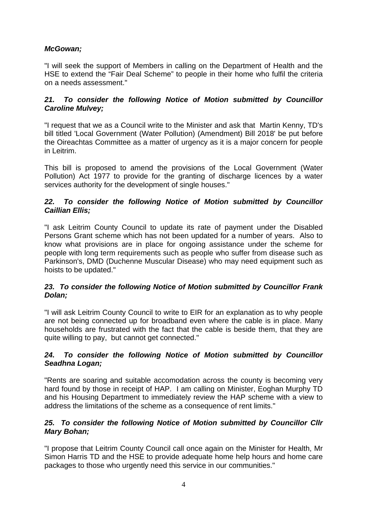# *McGowan;*

"I will seek the support of Members in calling on the Department of Health and the HSE to extend the "Fair Deal Scheme" to people in their home who fulfil the criteria on a needs assessment."

#### *21. To consider the following Notice of Motion submitted by Councillor Caroline Mulvey;*

"I request that we as a Council write to the Minister and ask that Martin Kenny, TD's bill titled 'Local Government (Water Pollution) (Amendment) Bill 2018' be put before the Oireachtas Committee as a matter of urgency as it is a major concern for people in Leitrim.

This bill is proposed to amend the provisions of the Local Government (Water Pollution) Act 1977 to provide for the granting of discharge licences by a water services authority for the development of single houses."

#### *22. To consider the following Notice of Motion submitted by Councillor Caillian Ellis;*

"I ask Leitrim County Council to update its rate of payment under the Disabled Persons Grant scheme which has not been updated for a number of years. Also to know what provisions are in place for ongoing assistance under the scheme for people with long term requirements such as people who suffer from disease such as Parkinson's, DMD (Duchenne Muscular Disease) who may need equipment such as hoists to be updated."

#### *23. To consider the following Notice of Motion submitted by Councillor Frank Dolan;*

"I will ask Leitrim County Council to write to EIR for an explanation as to why people are not being connected up for broadband even where the cable is in place. Many households are frustrated with the fact that the cable is beside them, that they are quite willing to pay, but cannot get connected."

#### *24. To consider the following Notice of Motion submitted by Councillor Seadhna Logan;*

"Rents are soaring and suitable accomodation across the county is becoming very hard found by those in receipt of HAP. I am calling on Minister, Eoghan Murphy TD and his Housing Department to immediately review the HAP scheme with a view to address the limitations of the scheme as a consequence of rent limits."

#### *25. To consider the following Notice of Motion submitted by Councillor Cllr Mary Bohan;*

"I propose that Leitrim County Council call once again on the Minister for Health, Mr Simon Harris TD and the HSE to provide adequate home help hours and home care packages to those who urgently need this service in our communities."